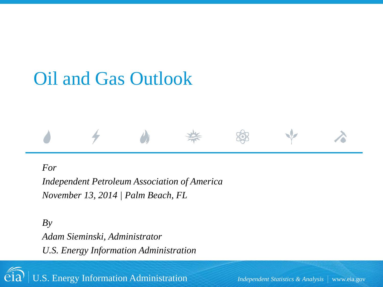# Oil and Gas Outlook

#### *For*

*Independent Petroleum Association of America November 13, 2014 | Palm Beach, FL*

*By Adam Sieminski, Administrator U.S. Energy Information Administration*



U.S. Energy Information Administration **Independent Statistics & Analysis** | www.eia.gov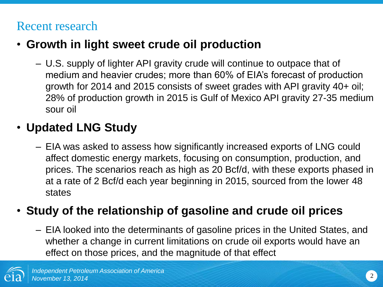### Recent research

### • **Growth in light sweet crude oil production**

– U.S. supply of lighter API gravity crude will continue to outpace that of medium and heavier crudes; more than 60% of EIA's forecast of production growth for 2014 and 2015 consists of sweet grades with API gravity 40+ oil; 28% of production growth in 2015 is Gulf of Mexico API gravity 27-35 medium sour oil

### • **Updated LNG Study**

– EIA was asked to assess how significantly increased exports of LNG could affect domestic energy markets, focusing on consumption, production, and prices. The scenarios reach as high as 20 Bcf/d, with these exports phased in at a rate of 2 Bcf/d each year beginning in 2015, sourced from the lower 48 states

### • **Study of the relationship of gasoline and crude oil prices**

– EIA looked into the determinants of gasoline prices in the United States, and whether a change in current limitations on crude oil exports would have an effect on those prices, and the magnitude of that effect

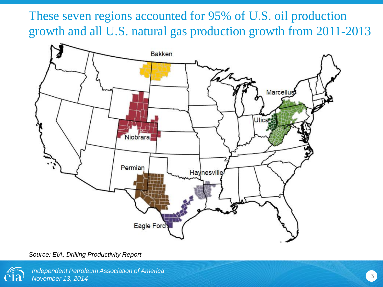These seven regions accounted for 95% of U.S. oil production growth and all U.S. natural gas production growth from 2011-2013



*Source: EIA, Drilling Productivity Report*

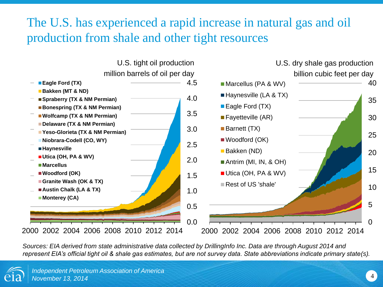### The U.S. has experienced a rapid increase in natural gas and oil production from shale and other tight resources



*Sources: EIA derived from state administrative data collected by DrillingInfo Inc. Data are through August 2014 and represent EIA's official tight oil & shale gas estimates, but are not survey data. State abbreviations indicate primary state(s).*

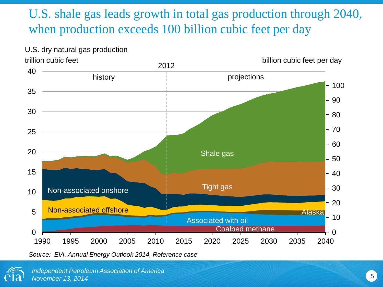### U.S. shale gas leads growth in total gas production through 2040, when production exceeds 100 billion cubic feet per day



U.S. dry natural gas production trillion cubic feet

*Source: EIA, Annual Energy Outlook 2014, Reference case*

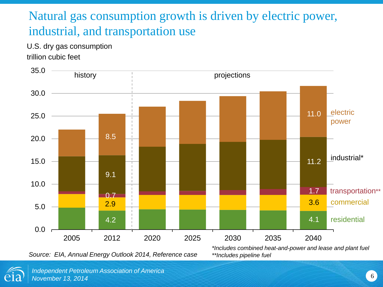### Natural gas consumption growth is driven by electric power, industrial, and transportation use

U.S. dry gas consumption trillion cubic feet



*Source: EIA, Annual Energy Outlook 2014, Reference case*

*\*Includes combined heat-and-power and lease and plant fuel \*\*Includes pipeline fuel*



6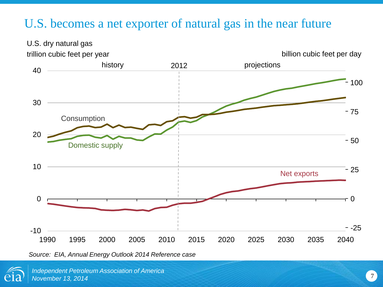### U.S. becomes a net exporter of natural gas in the near future



*Source: EIA, Annual Energy Outlook 2014 Reference case*

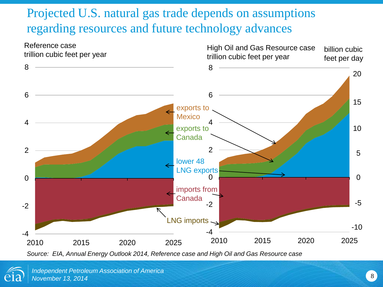# Projected U.S. natural gas trade depends on assumptions regarding resources and future technology advances



*Source: EIA, Annual Energy Outlook 2014, Reference case and High Oil and Gas Resource case*

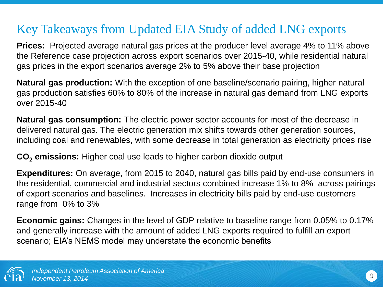# Key Takeaways from Updated EIA Study of added LNG exports

**Prices:** Projected average natural gas prices at the producer level average 4% to 11% above the Reference case projection across export scenarios over 2015-40, while residential natural gas prices in the export scenarios average 2% to 5% above their base projection

**Natural gas production:** With the exception of one baseline/scenario pairing, higher natural gas production satisfies 60% to 80% of the increase in natural gas demand from LNG exports over 2015-40

**Natural gas consumption:** The electric power sector accounts for most of the decrease in delivered natural gas. The electric generation mix shifts towards other generation sources, including coal and renewables, with some decrease in total generation as electricity prices rise

**CO<sup>2</sup> emissions:** Higher coal use leads to higher carbon dioxide output

**Expenditures:** On average, from 2015 to 2040, natural gas bills paid by end-use consumers in the residential, commercial and industrial sectors combined increase 1% to 8% across pairings of export scenarios and baselines. Increases in electricity bills paid by end-use customers range from 0% to 3%

**Economic gains:** Changes in the level of GDP relative to baseline range from 0.05% to 0.17% and generally increase with the amount of added LNG exports required to fulfill an export scenario; EIA's NEMS model may understate the economic benefits

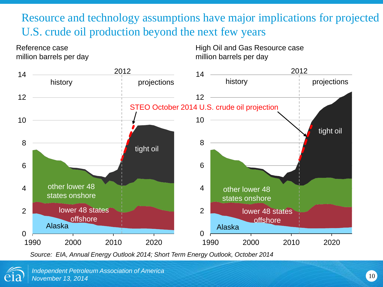Resource and technology assumptions have major implications for projected U.S. crude oil production beyond the next few years

Reference case million barrels per day High Oil and Gas Resource case million barrels per day



*Source: EIA, Annual Energy Outlook 2014; Short Term Energy Outlook, October 2014* 

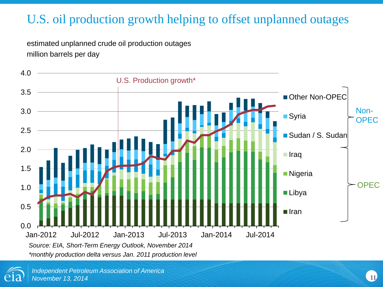# U.S. oil production growth helping to offset unplanned outages

estimated unplanned crude oil production outages million barrels per day



*\*monthly production delta versus Jan. 2011 production level*

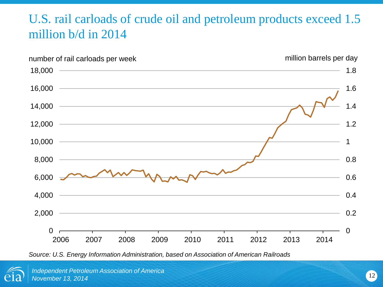# U.S. rail carloads of crude oil and petroleum products exceed 1.5 million b/d in 2014



*Source: U.S. Energy Information Administration, based on Association of American Railroads*

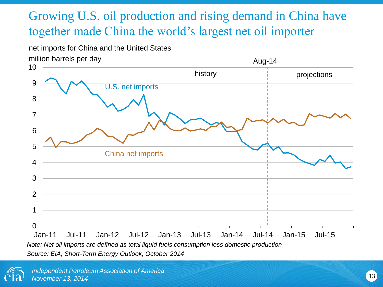# Growing U.S. oil production and rising demand in China have together made China the world's largest net oil importer

#### net imports for China and the United States



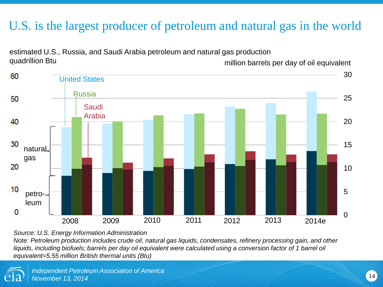### U.S. is the largest producer of petroleum and natural gas in the world



estimated U.S., Russia, and Saudi Arabia petroleum and natural gas production quadrillion Btu million barrels per day of oil equivalent

*Source: U.S. Energy Information Administration*

*Note: Petroleum production includes crude oil, natural gas liquids, condensates, refinery processing gain, and other*  liquids, including biofuels; barrels per day oil equivalent were calculated using a conversion factor of 1 barrel oil *equivalent=5.55 million British thermal units (Btu)*

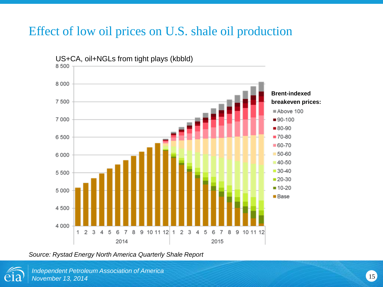### Effect of low oil prices on U.S. shale oil production



*Source: Rystad Energy North America Quarterly Shale Report* 

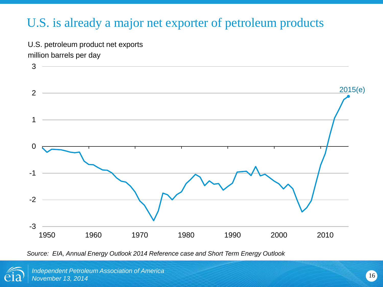### U.S. is already a major net exporter of petroleum products

U.S. petroleum product net exports million barrels per day



*Source: EIA, Annual Energy Outlook 2014 Reference case and Short Term Energy Outlook*

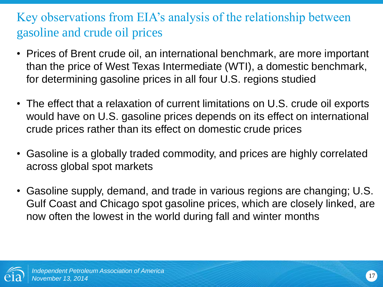# Key observations from EIA's analysis of the relationship between gasoline and crude oil prices

- Prices of Brent crude oil, an international benchmark, are more important than the price of West Texas Intermediate (WTI), a domestic benchmark, for determining gasoline prices in all four U.S. regions studied
- The effect that a relaxation of current limitations on U.S. crude oil exports would have on U.S. gasoline prices depends on its effect on international crude prices rather than its effect on domestic crude prices
- Gasoline is a globally traded commodity, and prices are highly correlated across global spot markets
- Gasoline supply, demand, and trade in various regions are changing; U.S. Gulf Coast and Chicago spot gasoline prices, which are closely linked, are now often the lowest in the world during fall and winter months

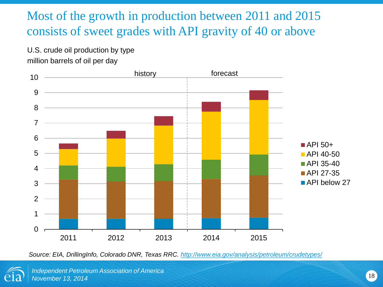### Most of the growth in production between 2011 and 2015 consists of sweet grades with API gravity of 40 or above

U.S. crude oil production by type million barrels of oil per day



*Source: EIA, DrillingInfo, Colorado DNR, Texas RRC. <http://www.eia.gov/analysis/petroleum/crudetypes/>*



*Independent Petroleum Association of America November 13, 2014* 18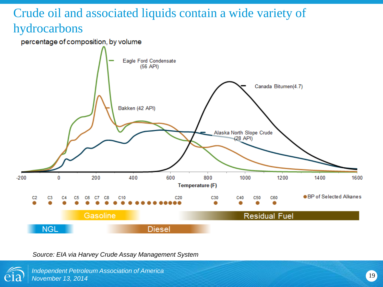# Crude oil and associated liquids contain a wide variety of hydrocarbons





*Source: EIA via Harvey Crude Assay Management System*



*Independent Petroleum Association of America November 13, 2014*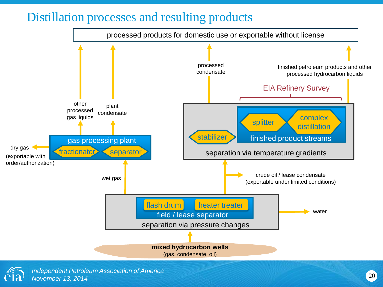### Distillation processes and resulting products



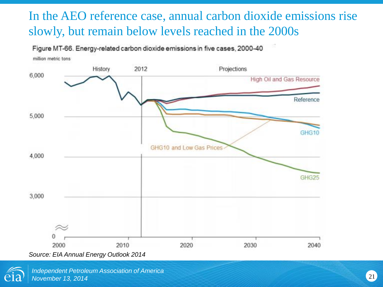# In the AEO reference case, annual carbon dioxide emissions rise slowly, but remain below levels reached in the 2000s

Figure MT-66. Energy-related carbon dioxide emissions in five cases, 2000-40



*Source: EIA Annual Energy Outlook 2014*

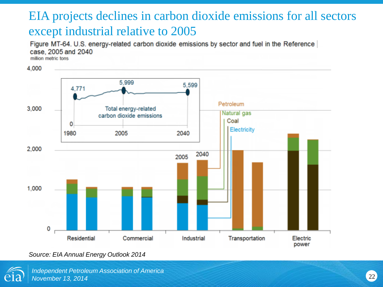### EIA projects declines in carbon dioxide emissions for all sectors except industrial relative to 2005

Figure MT-64. U.S. energy-related carbon dioxide emissions by sector and fuel in the Reference case, 2005 and 2040

million metric tons



*Source: EIA Annual Energy Outlook 2014*

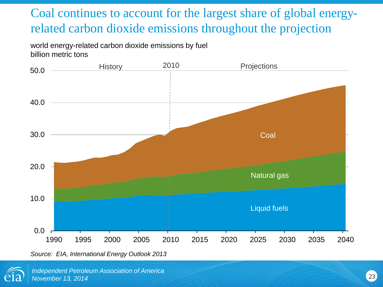# Coal continues to account for the largest share of global energyrelated carbon dioxide emissions throughout the projection

world energy-related carbon dioxide emissions by fuel billion metric tons



*Source: EIA, International Energy Outlook 2013*

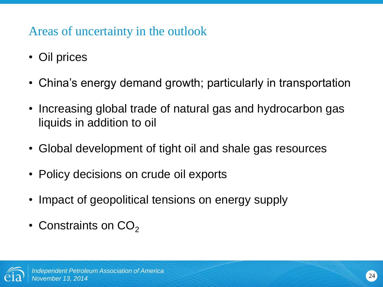### Areas of uncertainty in the outlook

- Oil prices
- China's energy demand growth; particularly in transportation
- Increasing global trade of natural gas and hydrocarbon gas liquids in addition to oil
- Global development of tight oil and shale gas resources
- Policy decisions on crude oil exports
- Impact of geopolitical tensions on energy supply
- Constraints on  $CO<sub>2</sub>$